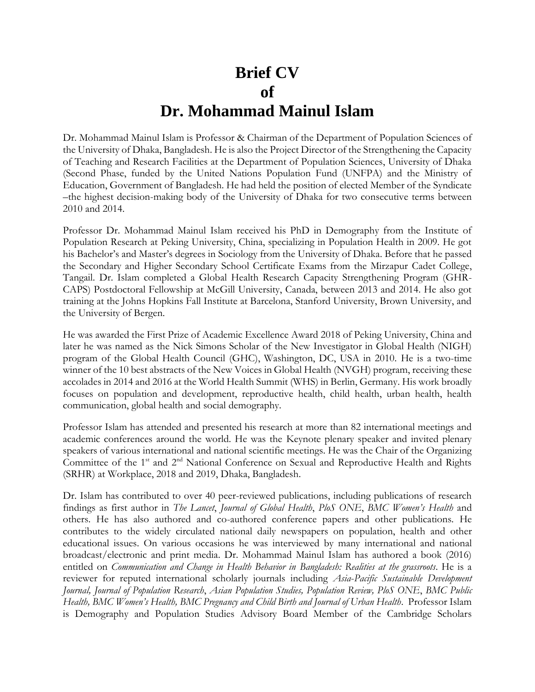## **Brief CV of Dr. Mohammad Mainul Islam**

Dr. Mohammad Mainul Islam is Professor & Chairman of the Department of Population Sciences of the University of Dhaka, Bangladesh. He is also the Project Director of the Strengthening the Capacity of Teaching and Research Facilities at the Department of Population Sciences, University of Dhaka (Second Phase, funded by the United Nations Population Fund (UNFPA) and the Ministry of Education, Government of Bangladesh. He had held the position of elected Member of the Syndicate –the highest decision-making body of the University of Dhaka for two consecutive terms between 2010 and 2014.

Professor Dr. Mohammad Mainul Islam received his PhD in Demography from the Institute of Population Research at Peking University, China, specializing in Population Health in 2009. He got his Bachelor's and Master's degrees in Sociology from the University of Dhaka. Before that he passed the Secondary and Higher Secondary School Certificate Exams from the Mirzapur Cadet College, Tangail. Dr. Islam completed a Global Health Research Capacity Strengthening Program (GHR-CAPS) Postdoctoral Fellowship at McGill University, Canada, between 2013 and 2014. He also got training at the Johns Hopkins Fall Institute at Barcelona, Stanford University, Brown University, and the University of Bergen.

He was awarded the First Prize of Academic Excellence Award 2018 of Peking University, China and later he was named as the Nick Simons Scholar of the New Investigator in Global Health (NIGH) program of the Global Health Council (GHC), Washington, DC, USA in 2010. He is a two-time winner of the 10 best abstracts of the New Voices in Global Health (NVGH) program, receiving these accolades in 2014 and 2016 at the World Health Summit (WHS) in Berlin, Germany. His work broadly focuses on population and development, reproductive health, child health, urban health, health communication, global health and social demography.

Professor Islam has attended and presented his research at more than 82 international meetings and academic conferences around the world. He was the Keynote plenary speaker and invited plenary speakers of various international and national scientific meetings. He was the Chair of the Organizing Committee of the 1<sup>st</sup> and 2<sup>nd</sup> National Conference on Sexual and Reproductive Health and Rights (SRHR) at Workplace, 2018 and 2019, Dhaka, Bangladesh.

Dr. Islam has contributed to over 40 peer-reviewed publications, including publications of research findings as first author in *The Lancet*, *Journal of Global Health*, *PloS ONE*, *BMC Women's Health* and others. He has also authored and co-authored conference papers and other publications. He contributes to the widely circulated national daily newspapers on population, health and other educational issues. On various occasions he was interviewed by many international and national broadcast/electronic and print media. Dr. Mohammad Mainul Islam has authored a book (2016) entitled on *Communication and Change in Health Behavior in Bangladesh: Realities at the grassroots*. He is a reviewer for reputed international scholarly journals including *Asia*-*Pacific Sustainable Development Journal, Journal of Population Research*, *Asian Population Studies, Population Review, PloS ONE*, *BMC Public Health, BMC Women's Health, BMC Pregnancy and Child Birth and Journal of Urban Health*. Professor Islam is Demography and Population Studies Advisory Board Member of the Cambridge Scholars